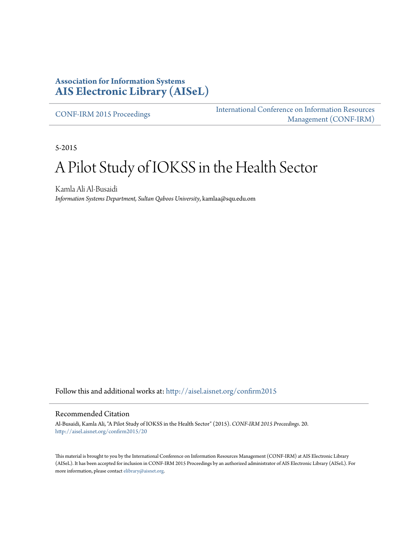### **Association for Information Systems [AIS Electronic Library \(AISeL\)](http://aisel.aisnet.org?utm_source=aisel.aisnet.org%2Fconfirm2015%2F20&utm_medium=PDF&utm_campaign=PDFCoverPages)**

[CONF-IRM 2015 Proceedings](http://aisel.aisnet.org/confirm2015?utm_source=aisel.aisnet.org%2Fconfirm2015%2F20&utm_medium=PDF&utm_campaign=PDFCoverPages)

[International Conference on Information Resources](http://aisel.aisnet.org/conf-irm?utm_source=aisel.aisnet.org%2Fconfirm2015%2F20&utm_medium=PDF&utm_campaign=PDFCoverPages) [Management \(CONF-IRM\)](http://aisel.aisnet.org/conf-irm?utm_source=aisel.aisnet.org%2Fconfirm2015%2F20&utm_medium=PDF&utm_campaign=PDFCoverPages)

5-2015

# A Pilot Study of IOKSS in the Health Sector

Kamla Ali Al-Busaidi *Information Systems Department, Sultan Qaboos University*, kamlaa@squ.edu.om

Follow this and additional works at: [http://aisel.aisnet.org/confirm2015](http://aisel.aisnet.org/confirm2015?utm_source=aisel.aisnet.org%2Fconfirm2015%2F20&utm_medium=PDF&utm_campaign=PDFCoverPages)

#### Recommended Citation

Al-Busaidi, Kamla Ali, "A Pilot Study of IOKSS in the Health Sector" (2015). *CONF-IRM 2015 Proceedings*. 20. [http://aisel.aisnet.org/confirm2015/20](http://aisel.aisnet.org/confirm2015/20?utm_source=aisel.aisnet.org%2Fconfirm2015%2F20&utm_medium=PDF&utm_campaign=PDFCoverPages)

This material is brought to you by the International Conference on Information Resources Management (CONF-IRM) at AIS Electronic Library (AISeL). It has been accepted for inclusion in CONF-IRM 2015 Proceedings by an authorized administrator of AIS Electronic Library (AISeL). For more information, please contact [elibrary@aisnet.org.](mailto:elibrary@aisnet.org%3E)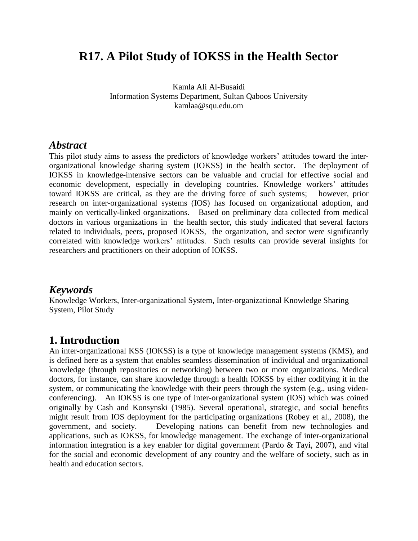# **R17. A Pilot Study of IOKSS in the Health Sector**

Kamla Ali Al-Busaidi Information Systems Department, Sultan Qaboos University kamlaa@squ.edu.om

#### *Abstract*

This pilot study aims to assess the predictors of knowledge workers' attitudes toward the interorganizational knowledge sharing system (IOKSS) in the health sector. The deployment of IOKSS in knowledge-intensive sectors can be valuable and crucial for effective social and economic development, especially in developing countries. Knowledge workers' attitudes toward IOKSS are critical, as they are the driving force of such systems; however, prior research on inter-organizational systems (IOS) has focused on organizational adoption, and mainly on vertically-linked organizations. Based on preliminary data collected from medical doctors in various organizations in the health sector, this study indicated that several factors related to individuals, peers, proposed IOKSS, the organization, and sector were significantly correlated with knowledge workers' attitudes. Such results can provide several insights for researchers and practitioners on their adoption of IOKSS.

## *Keywords*

Knowledge Workers, Inter-organizational System, Inter-organizational Knowledge Sharing System, Pilot Study

#### **1. Introduction**

An inter-organizational KSS (IOKSS) is a type of knowledge management systems (KMS), and is defined here as a system that enables seamless dissemination of individual and organizational knowledge (through repositories or networking) between two or more organizations. Medical doctors, for instance, can share knowledge through a health IOKSS by either codifying it in the system, or communicating the knowledge with their peers through the system (e.g., using videoconferencing). An IOKSS is one type of inter-organizational system (IOS) which was coined originally by Cash and Konsynski (1985). Several operational, strategic, and social benefits might result from IOS deployment for the participating organizations (Robey et al., 2008), the government, and society. Developing nations can benefit from new technologies and applications, such as IOKSS, for knowledge management. The exchange of inter-organizational information integration is a key enabler for digital government (Pardo & Tayi, 2007), and vital for the social and economic development of any country and the welfare of society, such as in health and education sectors.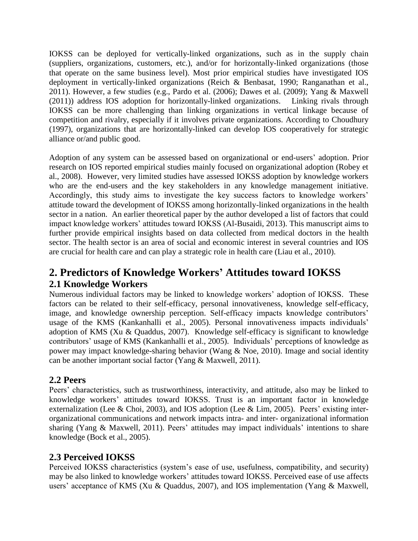IOKSS can be deployed for vertically-linked organizations, such as in the supply chain (suppliers, organizations, customers, etc.), and/or for horizontally-linked organizations (those that operate on the same business level). Most prior empirical studies have investigated IOS deployment in vertically-linked organizations (Reich & Benbasat, 1990; Ranganathan et al., 2011). However, a few studies (e.g., Pardo et al. (2006); Dawes et al. (2009); Yang & Maxwell (2011)) address IOS adoption for horizontally-linked organizations. Linking rivals through IOKSS can be more challenging than linking organizations in vertical linkage because of competition and rivalry, especially if it involves private organizations. According to Choudhury (1997), organizations that are horizontally-linked can develop IOS cooperatively for strategic alliance or/and public good.

Adoption of any system can be assessed based on organizational or end-users' adoption. Prior research on IOS reported empirical studies mainly focused on organizational adoption (Robey et al., 2008). However, very limited studies have assessed IOKSS adoption by knowledge workers who are the end-users and the key stakeholders in any knowledge management initiative. Accordingly, this study aims to investigate the key success factors to knowledge workers' attitude toward the development of IOKSS among horizontally-linked organizations in the health sector in a nation. An earlier theoretical paper by the author developed a list of factors that could impact knowledge workers' attitudes toward IOKSS (Al-Busaidi, 2013). This manuscript aims to further provide empirical insights based on data collected from medical doctors in the health sector. The health sector is an area of social and economic interest in several countries and IOS are crucial for health care and can play a strategic role in health care (Liau et al., 2010).

# **2. Predictors of Knowledge Workers' Attitudes toward IOKSS 2.1 Knowledge Workers**

Numerous individual factors may be linked to knowledge workers' adoption of IOKSS. These factors can be related to their self-efficacy, personal innovativeness, knowledge self-efficacy, image, and knowledge ownership perception. Self-efficacy impacts knowledge contributors' usage of the KMS (Kankanhalli et al., 2005). Personal innovativeness impacts individuals' adoption of KMS (Xu & Quaddus, 2007). Knowledge self-efficacy is significant to knowledge contributors' usage of KMS (Kankanhalli et al., 2005). Individuals' perceptions of knowledge as power may impact knowledge-sharing behavior (Wang & Noe, 2010). Image and social identity can be another important social factor (Yang & Maxwell, 2011).

#### **2.2 Peers**

Peers' characteristics, such as trustworthiness, interactivity, and attitude, also may be linked to knowledge workers' attitudes toward IOKSS. Trust is an important factor in knowledge externalization (Lee & Choi, 2003), and IOS adoption (Lee & Lim, 2005). Peers' existing interorganizational communications and network impacts intra- and inter- organizational information sharing (Yang & Maxwell, 2011). Peers' attitudes may impact individuals' intentions to share knowledge (Bock et al., 2005).

## **2.3 Perceived IOKSS**

Perceived IOKSS characteristics (system's ease of use, usefulness, compatibility, and security) may be also linked to knowledge workers' attitudes toward IOKSS. Perceived ease of use affects users' acceptance of KMS (Xu & Quaddus, 2007), and IOS implementation (Yang & Maxwell,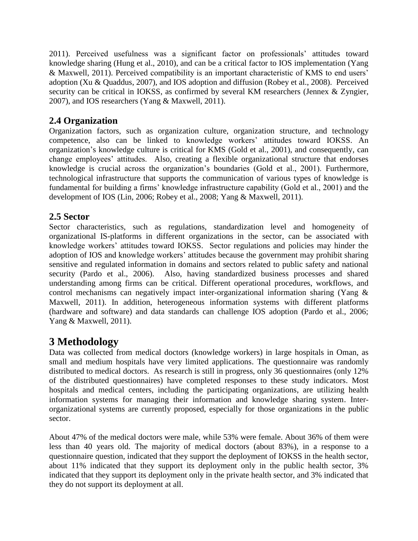2011). Perceived usefulness was a significant factor on professionals' attitudes toward knowledge sharing (Hung et al., 2010), and can be a critical factor to IOS implementation (Yang & Maxwell, 2011). Perceived compatibility is an important characteristic of KMS to end users' adoption (Xu & Quaddus, 2007), and IOS adoption and diffusion (Robey et al., 2008). Perceived security can be critical in IOKSS, as confirmed by several KM researchers (Jennex & Zyngier, 2007), and IOS researchers (Yang & Maxwell, 2011).

#### **2.4 Organization**

Organization factors, such as organization culture, organization structure, and technology competence, also can be linked to knowledge workers' attitudes toward IOKSS. An organization's knowledge culture is critical for KMS (Gold et al., 2001), and consequently, can change employees' attitudes. Also, creating a flexible organizational structure that endorses knowledge is crucial across the organization's boundaries (Gold et al., 2001). Furthermore, technological infrastructure that supports the communication of various types of knowledge is fundamental for building a firms' knowledge infrastructure capability (Gold et al., 2001) and the development of IOS (Lin, 2006; Robey et al., 2008; Yang & Maxwell, 2011).

## **2.5 Sector**

Sector characteristics, such as regulations, standardization level and homogeneity of organizational IS-platforms in different organizations in the sector, can be associated with knowledge workers' attitudes toward IOKSS. Sector regulations and policies may hinder the adoption of IOS and knowledge workers' attitudes because the government may prohibit sharing sensitive and regulated information in domains and sectors related to public safety and national security (Pardo et al., 2006). Also, having standardized business processes and shared understanding among firms can be critical. Different operational procedures, workflows, and control mechanisms can negatively impact inter-organizational information sharing (Yang & Maxwell, 2011). In addition, heterogeneous information systems with different platforms (hardware and software) and data standards can challenge IOS adoption (Pardo et al., 2006; Yang & Maxwell, 2011).

# **3 Methodology**

Data was collected from medical doctors (knowledge workers) in large hospitals in Oman, as small and medium hospitals have very limited applications. The questionnaire was randomly distributed to medical doctors. As research is still in progress, only 36 questionnaires (only 12% of the distributed questionnaires) have completed responses to these study indicators. Most hospitals and medical centers, including the participating organizations, are utilizing health information systems for managing their information and knowledge sharing system. Interorganizational systems are currently proposed, especially for those organizations in the public sector.

About 47% of the medical doctors were male, while 53% were female. About 36% of them were less than 40 years old. The majority of medical doctors (about 83%), in a response to a questionnaire question, indicated that they support the deployment of IOKSS in the health sector, about 11% indicated that they support its deployment only in the public health sector, 3% indicated that they support its deployment only in the private health sector, and 3% indicated that they do not support its deployment at all.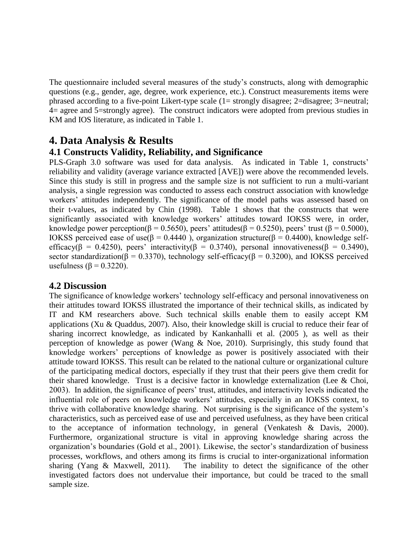The questionnaire included several measures of the study's constructs, along with demographic questions (e.g., gender, age, degree, work experience, etc.). Construct measurements items were phrased according to a five-point Likert-type scale (1= strongly disagree; 2=disagree; 3=neutral; 4= agree and 5=strongly agree). The construct indicators were adopted from previous studies in KM and IOS literature, as indicated in Table 1.

## **4. Data Analysis & Results**

#### **4.1 Constructs Validity, Reliability, and Significance**

PLS-Graph 3.0 software was used for data analysis. As indicated in Table 1, constructs' reliability and validity (average variance extracted [AVE]) were above the recommended levels. Since this study is still in progress and the sample size is not sufficient to run a multi-variant analysis, a single regression was conducted to assess each construct association with knowledge workers' attitudes independently. The significance of the model paths was assessed based on their t-values, as indicated by Chin (1998). Table 1 shows that the constructs that were significantly associated with knowledge workers' attitudes toward IOKSS were, in order, knowledge power perception( $\beta = 0.5650$ ), peers' attitudes( $\beta = 0.5250$ ), peers' trust ( $\beta = 0.5000$ ), IOKSS perceived ease of use(β = 0.4440), organization structure(β = 0.4400), knowledge selfefficacy( $\beta = 0.4250$ ), peers' interactivity( $\beta = 0.3740$ ), personal innovativeness( $\beta = 0.3490$ ), sector standardization( $\beta = 0.3370$ ), technology self-efficacy( $\beta = 0.3200$ ), and IOKSS perceived usefulness ( $\beta$  = 0.3220).

#### **4.2 Discussion**

The significance of knowledge workers' technology self-efficacy and personal innovativeness on their attitudes toward IOKSS illustrated the importance of their technical skills, as indicated by IT and KM researchers above. Such technical skills enable them to easily accept KM applications (Xu & Quaddus, 2007). Also, their knowledge skill is crucial to reduce their fear of sharing incorrect knowledge, as indicated by Kankanhalli et al. (2005 ), as well as their perception of knowledge as power (Wang & Noe, 2010). Surprisingly, this study found that knowledge workers' perceptions of knowledge as power is positively associated with their attitude toward IOKSS. This result can be related to the national culture or organizational culture of the participating medical doctors, especially if they trust that their peers give them credit for their shared knowledge. Trust is a decisive factor in knowledge externalization (Lee & Choi, 2003). In addition, the significance of peers' trust, attitudes, and interactivity levels indicated the influential role of peers on knowledge workers' attitudes, especially in an IOKSS context, to thrive with collaborative knowledge sharing. Not surprising is the significance of the system's characteristics, such as perceived ease of use and perceived usefulness, as they have been critical to the acceptance of information technology, in general (Venkatesh & Davis, 2000). Furthermore, organizational structure is vital in approving knowledge sharing across the organization's boundaries (Gold et al., 2001). Likewise, the sector's standardization of business processes, workflows, and others among its firms is crucial to inter-organizational information sharing (Yang & Maxwell, 2011). The inability to detect the significance of the other investigated factors does not undervalue their importance, but could be traced to the small sample size.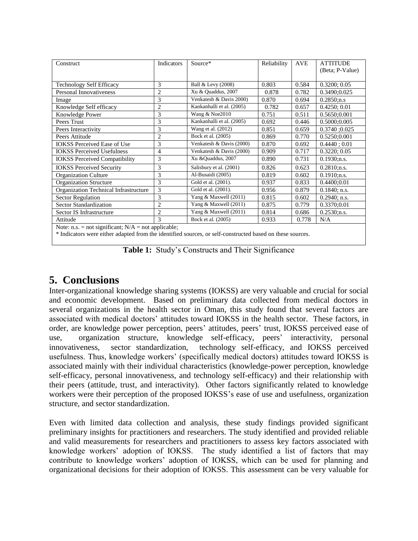| Construct                                             | Indicators     | Source*                   | Reliability | <b>AVE</b> | <b>ATTITUDE</b> |
|-------------------------------------------------------|----------------|---------------------------|-------------|------------|-----------------|
|                                                       |                |                           |             |            | (Beta; P-Value) |
|                                                       |                |                           |             |            |                 |
| <b>Technology Self Efficacy</b>                       | 3              | Ball & Levy (2008)        | 0.803       | 0.584      | 0.3200; 0.05    |
| Personal Innovativeness                               | $\overline{2}$ | Xu & Quaddus, 2007        | 0.878       | 0.782      | 0.3490;0.025    |
| Image                                                 | 3              | Venkatesh & Davis 2000)   | 0.870       | 0.694      | 0.2850:n.s      |
| Knowledge Self efficacy                               | $\overline{2}$ | Kankanhalli et al. (2005) | 0.782       | 0.657      | 0.4250; 0.01    |
| Knowledge Power                                       | 3              | Wang & Noe2010            | 0.751       | 0.511      | 0.5650;0.001    |
| Peers Trust                                           | 3              | Kankanhalli et al. (2005) | 0.692       | 0.446      | 0.5000;0.005    |
| Peers Interactivity                                   | 3              | Wang et al. (2012)        | 0.851       | 0.659      | $0.3740$ :0.025 |
| Peers Attitude                                        | $\overline{2}$ | Bock et al. (2005)        | 0.869       | 0.770      | 0.5250;0.001    |
| <b>IOKSS Perceived Ease of Use</b>                    | 3              | Venkatesh & Davis (2000)  | 0.870       | 0.692      | 0.4440:0.01     |
| <b>IOKSS</b> Perceived Usefulness                     | 4              | Venkatesh & Davis (2000)  | 0.909       | 0.717      | 0.3220; 0.05    |
| <b>IOKSS</b> Perceived Compatibility                  | 3              | Xu &Quaddus, 2007         | 0.890       | 0.731      | $0.1930;$ n.s.  |
| <b>IOKSS Perceived Security</b>                       | 3              | Salisbury et al. (2001)   | 0.826       | 0.623      | $0.2810$ :n.s.  |
| Organization Culture                                  | 3              | Al-Busaidi (2005)         | 0.819       | 0.602      | 0.1910:n.s.     |
| <b>Organization Structure</b>                         | 3              | Gold et al. (2001).       | 0.937       | 0.833      | 0.4400;0.01     |
| Organization Technical Infrastructure                 | 3              | Gold et al. (2001).       | 0.956       | 0.879      | $0.1840$ ; n.s. |
| <b>Sector Regulation</b>                              | 3              | Yang & Maxwell (2011)     | 0.815       | 0.602      | $0.2940$ ; n.s. |
| Sector Standardization                                | 2              | Yang & Maxwell (2011)     | 0.875       | 0.779      | 0.3370;0.01     |
| Sector IS Infrastructure                              | $\overline{2}$ | Yang & Maxwell (2011)     | 0.814       | 0.686      | $0.2530$ ;n.s.  |
| Attitude                                              | 3              | Bock et al. (2005)        | 0.933       | 0.778      | N/A             |
| Note: n.s. = not significant; $N/A$ = not applicable; |                |                           |             |            |                 |

\* Indicators were either adapted from the identified sources, or self-constructed based on these sources.

**Table 1:** Study's Constructs and Their Significance

# **5. Conclusions**

Inter-organizational knowledge sharing systems (IOKSS) are very valuable and crucial for social and economic development. Based on preliminary data collected from medical doctors in several organizations in the health sector in Oman, this study found that several factors are associated with medical doctors' attitudes toward IOKSS in the health sector. These factors, in order, are knowledge power perception, peers' attitudes, peers' trust, IOKSS perceived ease of use, organization structure, knowledge self-efficacy, peers' interactivity, personal innovativeness, sector standardization, technology self-efficacy, and IOKSS perceived usefulness. Thus, knowledge workers' (specifically medical doctors) attitudes toward IOKSS is associated mainly with their individual characteristics (knowledge-power perception, knowledge self-efficacy, personal innovativeness, and technology self-efficacy) and their relationship with their peers (attitude, trust, and interactivity). Other factors significantly related to knowledge workers were their perception of the proposed IOKSS's ease of use and usefulness, organization structure, and sector standardization.

Even with limited data collection and analysis, these study findings provided significant preliminary insights for practitioners and researchers. The study identified and provided reliable and valid measurements for researchers and practitioners to assess key factors associated with knowledge workers' adoption of IOKSS. The study identified a list of factors that may contribute to knowledge workers' adoption of IOKSS, which can be used for planning and organizational decisions for their adoption of IOKSS. This assessment can be very valuable for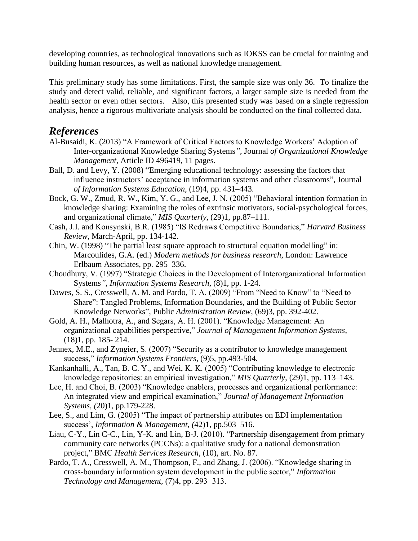developing countries, as technological innovations such as IOKSS can be crucial for training and building human resources, as well as national knowledge management.

This preliminary study has some limitations. First, the sample size was only 36. To finalize the study and detect valid, reliable, and significant factors, a larger sample size is needed from the health sector or even other sectors. Also, this presented study was based on a single regression analysis, hence a rigorous multivariate analysis should be conducted on the final collected data.

## *References*

- Al-Busaidi, K. (2013) "A Framework of Critical Factors to Knowledge Workers' Adoption of Inter-organizational Knowledge Sharing Systems*"*, Journal *of Organizational Knowledge Management*, Article ID 496419, 11 pages.
- Ball, D. and Levy, Y. (2008) "Emerging educational technology: assessing the factors that influence instructors' acceptance in information systems and other classrooms", Journal *of Information Systems Education,* (19)4, pp. 431–443.
- Bock, G. W., Zmud, R. W., Kim, Y. G., and Lee, J. N. (2005) "Behavioral intention formation in knowledge sharing: Examining the roles of extrinsic motivators, social-psychological forces, and organizational climate," *MIS Quarterly*, (29)1, pp.87–111.
- Cash, J.I. and Konsynski, B.R. (1985) "IS Redraws Competitive Boundaries," *Harvard Business Review*, March-April, pp. 134-142.
- Chin, W. (1998) "The partial least square approach to structural equation modelling" in: Marcoulides, G.A. (ed.) *Modern methods for business research*, London: Lawrence Erlbaum Associates, pp. 295–336.
- Choudhury, V. (1997) "Strategic Choices in the Development of Interorganizational Information Systems*", Information Systems Research*, (8)1, pp. 1-24.
- Dawes, S. S., Cresswell, A. M. and Pardo, T. A. (2009) "From "Need to Know" to "Need to Share": Tangled Problems, Information Boundaries, and the Building of Public Sector Knowledge Networks", Public *Administration Review*, (69)3, pp. 392-402.
- Gold, A. H., Malhotra, A., and Segars, A. H. (2001). "Knowledge Management: An organizational capabilities perspective," *Journal of Management Information Systems*, (18)1, pp. 185- 214.
- Jennex, M.E., and Zyngier, S. (2007) "Security as a contributor to knowledge management success," *Information Systems Frontiers*, (9)5, pp.493-504.
- Kankanhalli, A., Tan, B. C. Y., and Wei, K. K. (2005) "Contributing knowledge to electronic knowledge repositories: an empirical investigation," *MIS Quarterly*, (29)1, pp. 113–143.
- Lee, H. and Choi, B. (2003) "Knowledge enablers, processes and organizational performance: An integrated view and empirical examination," *Journal of Management Information Systems, (*20)1, pp.179-228.
- Lee, S., and Lim, G. (2005) "The impact of partnership attributes on EDI implementation success', *Information & Management, (*42)1, pp.503–516.
- Liau, C-Y., Lin C-C., Lin, Y-K. and Lin, B-J. (2010). "Partnership disengagement from primary community care networks (PCCNs): a qualitative study for a national demonstration project," BMC *Health Services Research,* (10), art. No. 87.
- Pardo, T. A., Cresswell, A. M., Thompson, F., and Zhang, J. (2006). "Knowledge sharing in cross-boundary information system development in the public sector," *Information Technology and Management,* (7)4, pp. 293−313.